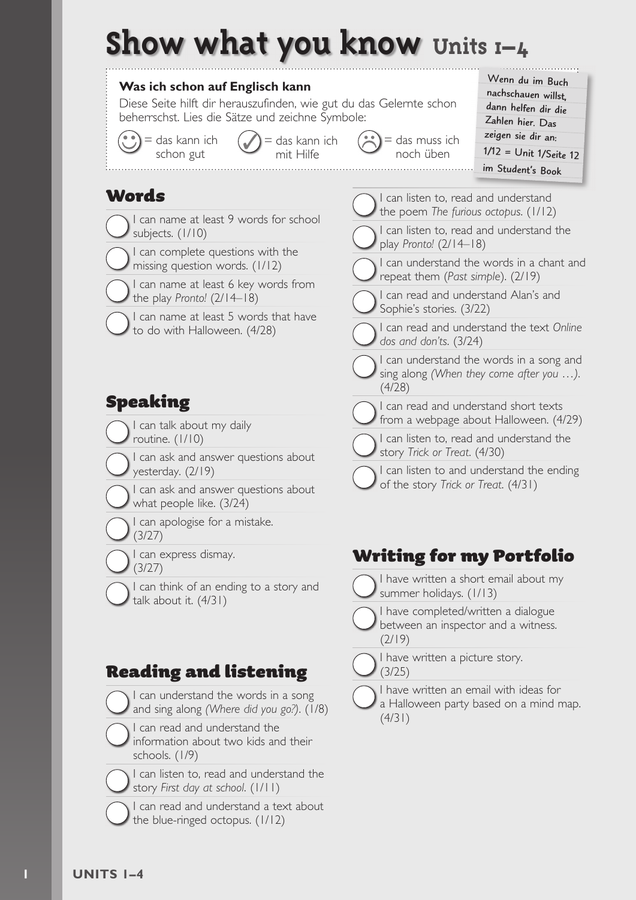## **Show what you know Units 1–4**



#### Reading and listening

- I can understand the words in a song and sing along *(Where did you go?)*. (1/8)
- I can read and understand the information about two kids and their schools. (1/9)
	- I can listen to, read and understand the story *First day at school*. (1/11)
- I can read and understand a text about the blue-ringed octopus. (1/12)

I have written a picture story. (3/25)

(2/19)

I have written an email with ideas for a Halloween party based on a mind map. (4/31)

between an inspector and a witness.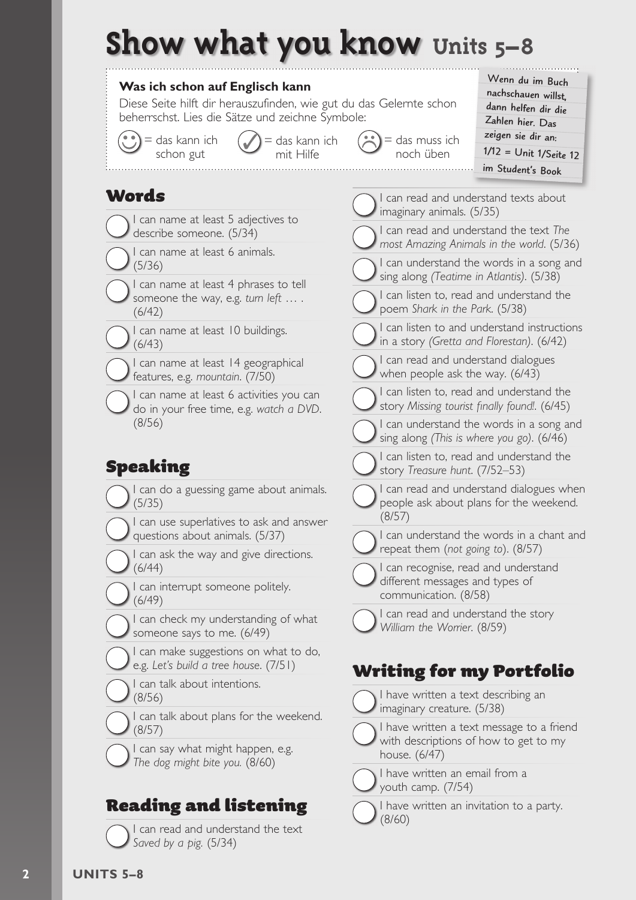# **Show what you know Units 5–8**



**2 UNITS 5–8**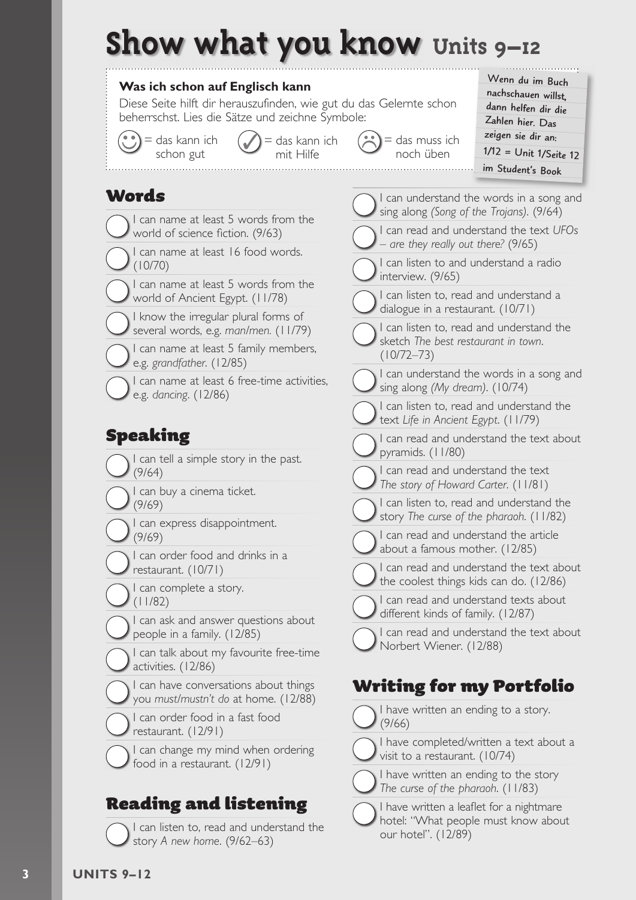# **Show what you know Units 9–12**



hotel: "What people must know about

our hotel". (12/89)

I can listen to, read and understand the story *A new home*. (9/62–63)